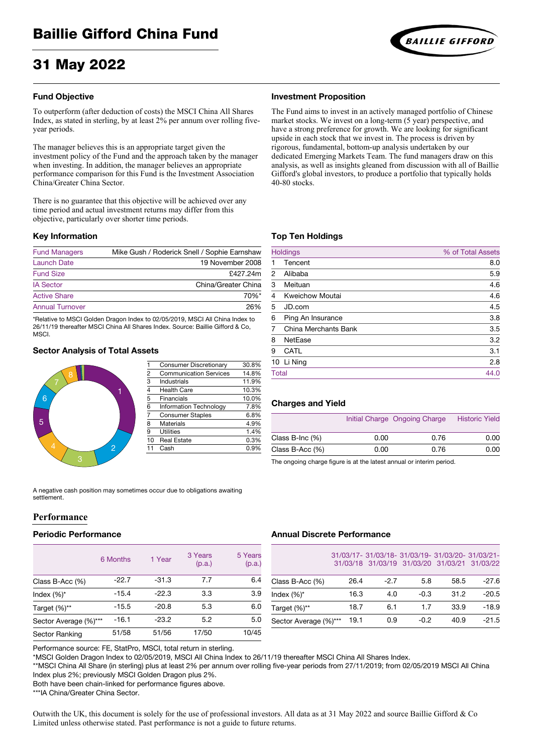# 31 May 2022

# **Fund Objective**

To outperform (after deduction of costs) the MSCI China All Shares Index, as stated in sterling, by at least 2% per annum over rolling fiveyear periods.

The manager believes this is an appropriate target given the investment policy of the Fund and the approach taken by the manager when investing. In addition, the manager believes an appropriate performance comparison for this Fund is the Investment Association China/Greater China Sector.

There is no guarantee that this objective will be achieved over any time period and actual investment returns may differ from this objective, particularly over shorter time periods.

#### **Key Information**

| <b>Fund Managers</b>   | Mike Gush / Roderick Snell / Sophie Earnshaw |
|------------------------|----------------------------------------------|
| <b>Launch Date</b>     | 19 November 2008                             |
| <b>Fund Size</b>       | £427.24m                                     |
| <b>IA Sector</b>       | China/Greater China                          |
| <b>Active Share</b>    | $70\%$ *                                     |
| <b>Annual Turnover</b> | 26%                                          |

\*Relative to MSCI Golden Dragon Index to 02/05/2019, MSCI All China Index to 26/11/19 thereafter MSCI China All Shares Index. Source: Baillie Gifford & Co, **MSCI** 

# **Sector Analysis of Total Assets**



| 1                       | <b>Consumer Discretionary</b> | 30.8% |
|-------------------------|-------------------------------|-------|
| $\frac{2}{3}$           | <b>Communication Services</b> | 14.8% |
|                         | <b>Industrials</b>            | 11.9% |
| $\frac{4}{5}$           | <b>Health Care</b>            | 10.3% |
|                         | <b>Financials</b>             | 10.0% |
| $\overline{6}$          | <b>Information Technology</b> | 7.8%  |
| $\overline{7}$          | <b>Consumer Staples</b>       | 6.8%  |
| $\overline{\mathbf{8}}$ | <b>Materials</b>              | 4.9%  |
| 9                       | <b>Utilities</b>              | 1.4%  |
| 10                      | <b>Real Estate</b>            | 0.3%  |
| 11                      | Cash                          | 0.9%  |
|                         |                               |       |

A negative cash position may sometimes occur due to obligations awaiting settlement.

# **Performance**

## **Periodic Performance**

|                       | 6 Months | 1 Year  | 3 Years<br>(p.a.) | 5 Years<br>(p.a.) |
|-----------------------|----------|---------|-------------------|-------------------|
| Class B-Acc (%)       | $-22.7$  | $-31.3$ | 7.7               | 6.4               |
| Index $(\%)^*$        | $-15.4$  | $-22.3$ | 3.3               | 3.9               |
| Target (%)**          | $-15.5$  | $-20.8$ | 5.3               | 6.0               |
| Sector Average (%)*** | $-16.1$  | $-23.2$ | 5.2               | 5.0               |
| <b>Sector Ranking</b> | 51/58    | 51/56   | 17/50             | 10/45             |

# Performance source: FE, StatPro, MSCI, total return in sterling.

\*MSCI Golden Dragon Index to 02/05/2019, MSCI All China Index to 26/11/19 thereafter MSCI China All Shares Index.

\*\*MSCI China All Share (in sterling) plus at least 2% per annum over rolling five-year periods from 27/11/2019; from 02/05/2019 MSCI All China Index plus 2%; previously MSCI Golden Dragon plus 2%.

Both have been chain-linked for performance figures above.

\*\*\*IA China/Greater China Sector.

Outwith the UK, this document is solely for the use of professional investors. All data as at 31 May 2022 and source Baillie Gifford & Co Limited unless otherwise stated. Past performance is not a guide to future returns.

#### **Investment Proposition**

The Fund aims to invest in an actively managed portfolio of Chinese market stocks. We invest on a long-term (5 year) perspective, and have a strong preference for growth. We are looking for significant upside in each stock that we invest in. The process is driven by rigorous, fundamental, bottom-up analysis undertaken by our dedicated Emerging Markets Team. The fund managers draw on this analysis, as well as insights gleaned from discussion with all of Baillie Gifford's global investors, to produce a portfolio that typically holds 40-80 stocks.

## **Top Ten Holdings**

|                | <b>Holdings</b>             | % of Total Assets |
|----------------|-----------------------------|-------------------|
|                | Tencent                     | 8.0               |
| 2              | Alibaba                     | 5.9               |
| 3              | Meituan                     | 4.6               |
| $\overline{4}$ | <b>Kweichow Moutai</b>      | 4.6               |
| 5              | JD.com                      | 4.5               |
| 6              | Ping An Insurance           | 3.8               |
| 7              | <b>China Merchants Bank</b> | 3.5               |
| 8              | <b>NetEase</b>              | 3.2               |
| 9              | <b>CATL</b>                 | 3.1               |
|                | 10 Li Ning                  | 2.8               |
| <b>Total</b>   |                             | 44.0              |

## **Charges and Yield**

|                       |      | Initial Charge Ongoing Charge | <b>Historic Yield</b> |
|-----------------------|------|-------------------------------|-----------------------|
| Class B-Inc $(\%)$    | 0.00 | 0.76                          | 0.00                  |
| Class $B$ -Acc $(\%)$ | 0.00 | 0.76                          | 0.00                  |
|                       |      |                               |                       |

The ongoing charge figure is at the latest annual or interim period.

## **Annual Discrete Performance**

|                       |      |        | 31/03/17-31/03/18-31/03/19-31/03/20-31/03/21- |      | 31/03/18 31/03/19 31/03/20 31/03/21 31/03/22 |
|-----------------------|------|--------|-----------------------------------------------|------|----------------------------------------------|
| Class B-Acc $(\%)$    | 26.4 | $-2.7$ | 5.8                                           | 58.5 | $-27.6$                                      |
| Index $(\%)^*$        | 16.3 | 4.0    | $-0.3$                                        | 31.2 | $-20.5$                                      |
| Target (%)**          | 18.7 | 6.1    | 1.7                                           | 33.9 | $-18.9$                                      |
| Sector Average (%)*** | 19.1 | 0.9    | $-0.2$                                        | 40.9 | $-21.5$                                      |

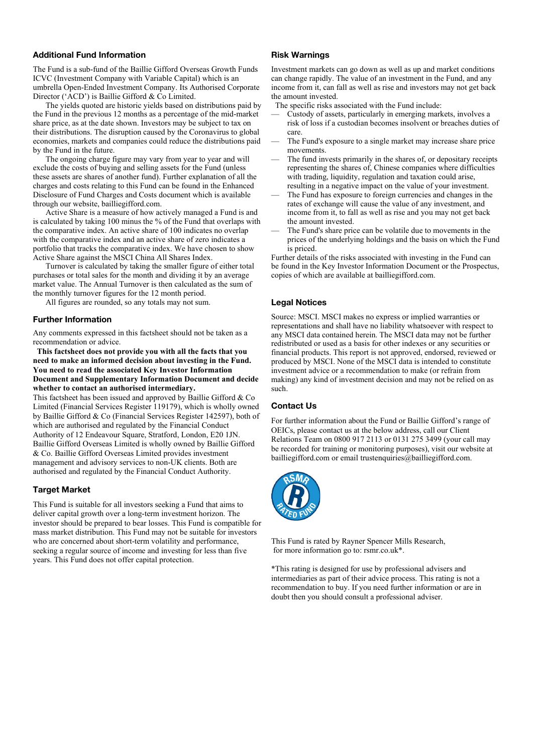## **Additional Fund Information**

The Fund is a sub-fund of the Baillie Gifford Overseas Growth Funds ICVC (Investment Company with Variable Capital) which is an umbrella Open-Ended Investment Company. Its Authorised Corporate Director ('ACD') is Baillie Gifford & Co Limited.

The yields quoted are historic yields based on distributions paid by the Fund in the previous 12 months as a percentage of the mid-market share price, as at the date shown. Investors may be subject to tax on their distributions. The disruption caused by the Coronavirus to global economies, markets and companies could reduce the distributions paid by the Fund in the future.

The ongoing charge figure may vary from year to year and will exclude the costs of buying and selling assets for the Fund (unless these assets are shares of another fund). Further explanation of all the charges and costs relating to this Fund can be found in the Enhanced Disclosure of Fund Charges and Costs document which is available through our website[, bailliegifford.com.](https://www.bailliegifford.com/) 

Active Share is a measure of how actively managed a Fund is and is calculated by taking 100 minus the % of the Fund that overlaps with the comparative index. An active share of 100 indicates no overlap with the comparative index and an active share of zero indicates a portfolio that tracks the comparative index. We have chosen to show Active Share against the MSCI China All Shares Index.

Turnover is calculated by taking the smaller figure of either total purchases or total sales for the month and dividing it by an average market value. The Annual Turnover is then calculated as the sum of the monthly turnover figures for the 12 month period.

All figures are rounded, so any totals may not sum.

## **Further Information**

Any comments expressed in this factsheet should not be taken as a recommendation or advice.

 **This factsheet does not provide you with all the facts that you need to make an informed decision about investing in the Fund. You need to read the associated Key Investor Information Document and Supplementary Information Document and decide whether to contact an authorised intermediary.**

This factsheet has been issued and approved by Baillie Gifford & Co Limited (Financial Services Register 119179), which is wholly owned by Baillie Gifford & Co (Financial Services Register 142597), both of which are authorised and regulated by the Financial Conduct Authority of 12 Endeavour Square, Stratford, London, E20 1JN. Baillie Gifford Overseas Limited is wholly owned by Baillie Gifford & Co. Baillie Gifford Overseas Limited provides investment management and advisory services to non-UK clients. Both are authorised and regulated by the Financial Conduct Authority.

## **Target Market**

This Fund is suitable for all investors seeking a Fund that aims to deliver capital growth over a long-term investment horizon. The investor should be prepared to bear losses. This Fund is compatible for mass market distribution. This Fund may not be suitable for investors who are concerned about short-term volatility and performance, seeking a regular source of income and investing for less than five years. This Fund does not offer capital protection.

#### **Risk Warnings**

Investment markets can go down as well as up and market conditions can change rapidly. The value of an investment in the Fund, and any income from it, can fall as well as rise and investors may not get back the amount invested.

The specific risks associated with the Fund include:

- Custody of assets, particularly in emerging markets, involves a risk of loss if a custodian becomes insolvent or breaches duties of care.
- The Fund's exposure to a single market may increase share price movements.
- The fund invests primarily in the shares of, or depositary receipts representing the shares of, Chinese companies where difficulties with trading, liquidity, regulation and taxation could arise, resulting in a negative impact on the value of your investment.
- The Fund has exposure to foreign currencies and changes in the rates of exchange will cause the value of any investment, and income from it, to fall as well as rise and you may not get back the amount invested.
- The Fund's share price can be volatile due to movements in the prices of the underlying holdings and the basis on which the Fund is priced.

Further details of the risks associated with investing in the Fund can be found in the Key Investor Information Document or the Prospectus, copies of which are available at bailliegifford.com.

## **Legal Notices**

Source: MSCI. MSCI makes no express or implied warranties or representations and shall have no liability whatsoever with respect to any MSCI data contained herein. The MSCI data may not be further redistributed or used as a basis for other indexes or any securities or financial products. This report is not approved, endorsed, reviewed or produced by MSCI. None of the MSCI data is intended to constitute investment advice or a recommendation to make (or refrain from making) any kind of investment decision and may not be relied on as such.

# **Contact Us**

For further information about the Fund or Baillie Gifford's range of OEICs, please contact us at the below address, call our Client Relations Team on 0800 917 2113 or 0131 275 3499 (your call may be recorded for training or monitoring purposes), visit our website at bailliegifford.com or emai[l trustenquiries@bailliegifford.com.](mailto:trustenquiries@bailliegifford.com)



This Fund is rated by Rayner Spencer Mills Research, for more information go to: rsmr.co.uk\*.

\*This rating is designed for use by professional advisers and intermediaries as part of their advice process. This rating is not a recommendation to buy. If you need further information or are in doubt then you should consult a professional adviser.